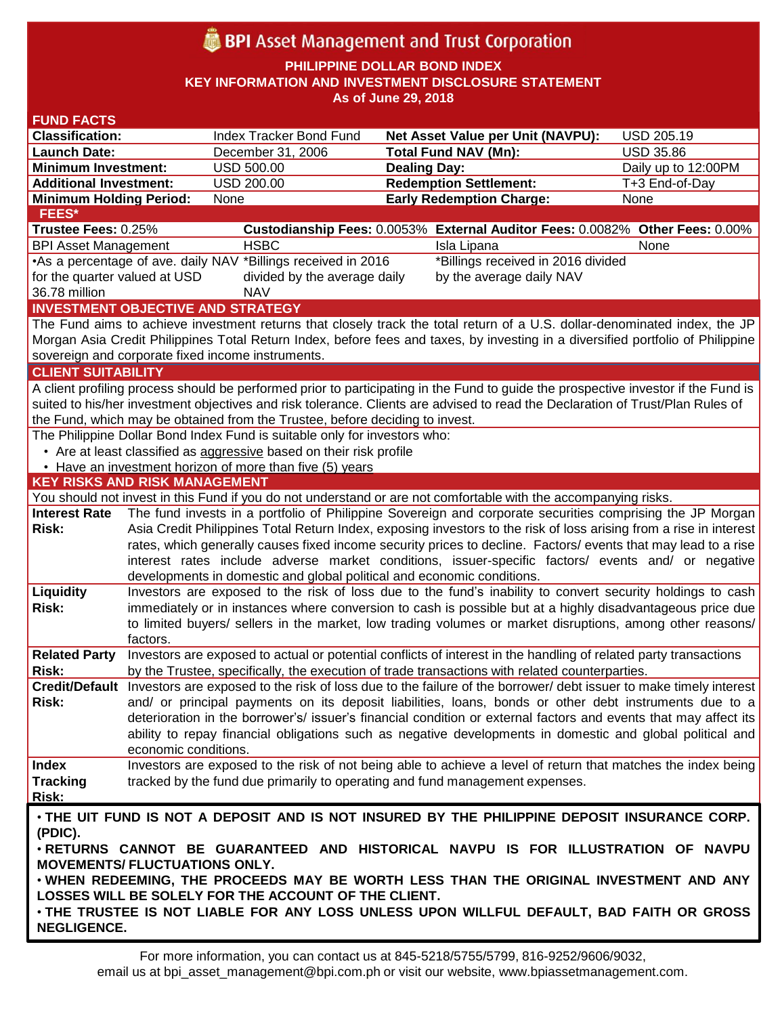# **BPI** Asset Management and Trust Corporation

**PHILIPPINE DOLLAR BOND INDEX**

**KEY INFORMATION AND INVESTMENT DISCLOSURE STATEMENT**

**As of June 29, 2018**

| <b>FUND FACTS</b>                                                                                                              |                                                                                                                                                                                                                         |                                                                        |                                                                                                                                    |                     |  |  |  |  |
|--------------------------------------------------------------------------------------------------------------------------------|-------------------------------------------------------------------------------------------------------------------------------------------------------------------------------------------------------------------------|------------------------------------------------------------------------|------------------------------------------------------------------------------------------------------------------------------------|---------------------|--|--|--|--|
| <b>Classification:</b>                                                                                                         |                                                                                                                                                                                                                         | Index Tracker Bond Fund                                                | <b>Net Asset Value per Unit (NAVPU):</b>                                                                                           | <b>USD 205.19</b>   |  |  |  |  |
| <b>Launch Date:</b>                                                                                                            |                                                                                                                                                                                                                         | December 31, 2006                                                      | <b>Total Fund NAV (Mn):</b>                                                                                                        | <b>USD 35.86</b>    |  |  |  |  |
| <b>Minimum Investment:</b>                                                                                                     |                                                                                                                                                                                                                         | <b>USD 500.00</b>                                                      | <b>Dealing Day:</b>                                                                                                                | Daily up to 12:00PM |  |  |  |  |
| <b>Additional Investment:</b>                                                                                                  |                                                                                                                                                                                                                         | <b>USD 200.00</b>                                                      | <b>Redemption Settlement:</b>                                                                                                      | T+3 End-of-Day      |  |  |  |  |
| <b>Minimum Holding Period:</b>                                                                                                 |                                                                                                                                                                                                                         | None                                                                   | <b>Early Redemption Charge:</b>                                                                                                    | None                |  |  |  |  |
| <b>FEES*</b>                                                                                                                   |                                                                                                                                                                                                                         |                                                                        |                                                                                                                                    |                     |  |  |  |  |
| Trustee Fees: 0.25%                                                                                                            |                                                                                                                                                                                                                         |                                                                        | Custodianship Fees: 0.0053% External Auditor Fees: 0.0082% Other Fees: 0.00%                                                       |                     |  |  |  |  |
| <b>BPI Asset Management</b>                                                                                                    |                                                                                                                                                                                                                         | <b>HSBC</b>                                                            | Isla Lipana                                                                                                                        | None                |  |  |  |  |
| •As a percentage of ave. daily NAV *Billings received in 2016<br>*Billings received in 2016 divided                            |                                                                                                                                                                                                                         |                                                                        |                                                                                                                                    |                     |  |  |  |  |
|                                                                                                                                | for the quarter valued at USD<br>divided by the average daily<br>by the average daily NAV                                                                                                                               |                                                                        |                                                                                                                                    |                     |  |  |  |  |
| 36.78 million                                                                                                                  |                                                                                                                                                                                                                         | <b>NAV</b>                                                             |                                                                                                                                    |                     |  |  |  |  |
|                                                                                                                                |                                                                                                                                                                                                                         | <b>INVESTMENT OBJECTIVE AND STRATEGY</b>                               |                                                                                                                                    |                     |  |  |  |  |
|                                                                                                                                |                                                                                                                                                                                                                         |                                                                        | The Fund aims to achieve investment returns that closely track the total return of a U.S. dollar-denominated index, the JP         |                     |  |  |  |  |
|                                                                                                                                |                                                                                                                                                                                                                         |                                                                        | Morgan Asia Credit Philippines Total Return Index, before fees and taxes, by investing in a diversified portfolio of Philippine    |                     |  |  |  |  |
|                                                                                                                                |                                                                                                                                                                                                                         | sovereign and corporate fixed income instruments.                      |                                                                                                                                    |                     |  |  |  |  |
| <b>CLIENT SUITABILITY</b>                                                                                                      |                                                                                                                                                                                                                         |                                                                        |                                                                                                                                    |                     |  |  |  |  |
|                                                                                                                                |                                                                                                                                                                                                                         |                                                                        | A client profiling process should be performed prior to participating in the Fund to guide the prospective investor if the Fund is |                     |  |  |  |  |
| suited to his/her investment objectives and risk tolerance. Clients are advised to read the Declaration of Trust/Plan Rules of |                                                                                                                                                                                                                         |                                                                        |                                                                                                                                    |                     |  |  |  |  |
| the Fund, which may be obtained from the Trustee, before deciding to invest.                                                   |                                                                                                                                                                                                                         |                                                                        |                                                                                                                                    |                     |  |  |  |  |
| The Philippine Dollar Bond Index Fund is suitable only for investors who:                                                      |                                                                                                                                                                                                                         |                                                                        |                                                                                                                                    |                     |  |  |  |  |
|                                                                                                                                |                                                                                                                                                                                                                         | • Are at least classified as aggressive based on their risk profile    |                                                                                                                                    |                     |  |  |  |  |
|                                                                                                                                |                                                                                                                                                                                                                         | • Have an investment horizon of more than five (5) years               |                                                                                                                                    |                     |  |  |  |  |
| <b>KEY RISKS AND RISK MANAGEMENT</b>                                                                                           |                                                                                                                                                                                                                         |                                                                        |                                                                                                                                    |                     |  |  |  |  |
|                                                                                                                                |                                                                                                                                                                                                                         |                                                                        | You should not invest in this Fund if you do not understand or are not comfortable with the accompanying risks.                    |                     |  |  |  |  |
| <b>Interest Rate</b>                                                                                                           |                                                                                                                                                                                                                         |                                                                        | The fund invests in a portfolio of Philippine Sovereign and corporate securities comprising the JP Morgan                          |                     |  |  |  |  |
| Risk:                                                                                                                          | Asia Credit Philippines Total Return Index, exposing investors to the risk of loss arising from a rise in interest                                                                                                      |                                                                        |                                                                                                                                    |                     |  |  |  |  |
|                                                                                                                                | rates, which generally causes fixed income security prices to decline. Factors/ events that may lead to a rise                                                                                                          |                                                                        |                                                                                                                                    |                     |  |  |  |  |
|                                                                                                                                |                                                                                                                                                                                                                         |                                                                        | interest rates include adverse market conditions, issuer-specific factors/ events and/ or negative                                 |                     |  |  |  |  |
|                                                                                                                                |                                                                                                                                                                                                                         | developments in domestic and global political and economic conditions. |                                                                                                                                    |                     |  |  |  |  |
| Liquidity                                                                                                                      |                                                                                                                                                                                                                         |                                                                        | Investors are exposed to the risk of loss due to the fund's inability to convert security holdings to cash                         |                     |  |  |  |  |
| Risk:                                                                                                                          | immediately or in instances where conversion to cash is possible but at a highly disadvantageous price due<br>to limited buyers/ sellers in the market, low trading volumes or market disruptions, among other reasons/ |                                                                        |                                                                                                                                    |                     |  |  |  |  |
|                                                                                                                                |                                                                                                                                                                                                                         |                                                                        |                                                                                                                                    |                     |  |  |  |  |
|                                                                                                                                | factors.                                                                                                                                                                                                                |                                                                        |                                                                                                                                    |                     |  |  |  |  |
| <b>Related Party</b>                                                                                                           |                                                                                                                                                                                                                         |                                                                        | Investors are exposed to actual or potential conflicts of interest in the handling of related party transactions                   |                     |  |  |  |  |
| Risk:                                                                                                                          |                                                                                                                                                                                                                         |                                                                        | by the Trustee, specifically, the execution of trade transactions with related counterparties.                                     |                     |  |  |  |  |
|                                                                                                                                |                                                                                                                                                                                                                         |                                                                        | Credit/Default Investors are exposed to the risk of loss due to the failure of the borrower/ debt issuer to make timely interest   |                     |  |  |  |  |
| Risk:                                                                                                                          |                                                                                                                                                                                                                         |                                                                        | and/ or principal payments on its deposit liabilities, loans, bonds or other debt instruments due to a                             |                     |  |  |  |  |
|                                                                                                                                |                                                                                                                                                                                                                         |                                                                        | deterioration in the borrower's/ issuer's financial condition or external factors and events that may affect its                   |                     |  |  |  |  |
|                                                                                                                                | economic conditions.                                                                                                                                                                                                    |                                                                        | ability to repay financial obligations such as negative developments in domestic and global political and                          |                     |  |  |  |  |
| <b>Index</b>                                                                                                                   |                                                                                                                                                                                                                         |                                                                        | Investors are exposed to the risk of not being able to achieve a level of return that matches the index being                      |                     |  |  |  |  |
|                                                                                                                                |                                                                                                                                                                                                                         |                                                                        |                                                                                                                                    |                     |  |  |  |  |
| <b>Tracking</b>                                                                                                                |                                                                                                                                                                                                                         |                                                                        | tracked by the fund due primarily to operating and fund management expenses.                                                       |                     |  |  |  |  |
| <b>Risk:</b>                                                                                                                   |                                                                                                                                                                                                                         |                                                                        |                                                                                                                                    |                     |  |  |  |  |
|                                                                                                                                |                                                                                                                                                                                                                         |                                                                        | . THE UIT FUND IS NOT A DEPOSIT AND IS NOT INSURED BY THE PHILIPPINE DEPOSIT INSURANCE CORP.                                       |                     |  |  |  |  |
| (PDIC).                                                                                                                        |                                                                                                                                                                                                                         |                                                                        |                                                                                                                                    |                     |  |  |  |  |
| . RETURNS CANNOT BE GUARANTEED AND HISTORICAL NAVPU IS FOR ILLUSTRATION OF NAVPU                                               |                                                                                                                                                                                                                         |                                                                        |                                                                                                                                    |                     |  |  |  |  |
| <b>MOVEMENTS/ FLUCTUATIONS ONLY.</b><br>. WHEN REDEEMING, THE PROCEEDS MAY BE WORTH LESS THAN THE ORIGINAL INVESTMENT AND ANY  |                                                                                                                                                                                                                         |                                                                        |                                                                                                                                    |                     |  |  |  |  |
|                                                                                                                                |                                                                                                                                                                                                                         |                                                                        |                                                                                                                                    |                     |  |  |  |  |
|                                                                                                                                |                                                                                                                                                                                                                         | LOSSES WILL BE SOLELY FOR THE ACCOUNT OF THE CLIENT.                   |                                                                                                                                    |                     |  |  |  |  |
|                                                                                                                                |                                                                                                                                                                                                                         |                                                                        | . THE TRUSTEE IS NOT LIABLE FOR ANY LOSS UNLESS UPON WILLFUL DEFAULT, BAD FAITH OR GROSS                                           |                     |  |  |  |  |
| <b>NEGLIGENCE.</b>                                                                                                             |                                                                                                                                                                                                                         |                                                                        |                                                                                                                                    |                     |  |  |  |  |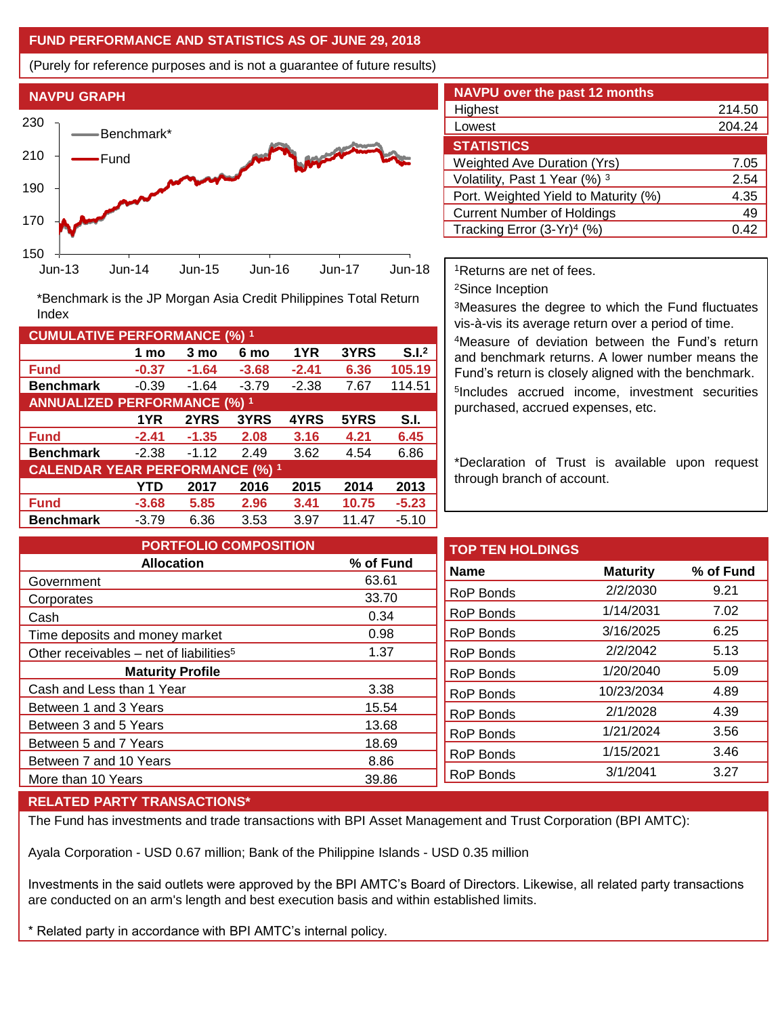### **FUND PERFORMANCE AND STATISTICS AS OF JUNE 29, 2018**

(Purely for reference purposes and is not a guarantee of future results)



**Fund -0.37 -1.64 -3.68 -2.41 6.36 105.19 Benchmark** -0.39 -1.64 -3.79 -2.38 7.67 114.51

\*Benchmark is the JP Morgan Asia Credit Philippines Total Return

**Fund -2.41 -1.35 2.08 3.16 4.21 6.45 Benchmark** -2.38 -1.12 2.49 3.62 4.54 6.86

**Fund -3.68 5.85 2.96 3.41 10.75 -5.23 Benchmark** -3.79 6.36 3.53 3.97 11.47 -5.10

**1 mo 3 mo 6 mo 1YR 3YRS S.I.<sup>2</sup>**

**1YR 2YRS 3YRS 4YRS 5YRS S.I.**

**YTD 2017 2016 2015 2014 2013**

| <b>NAVPU over the past 12 months</b>   |        |  |  |  |  |
|----------------------------------------|--------|--|--|--|--|
| Highest                                | 214.50 |  |  |  |  |
| Lowest                                 | 204.24 |  |  |  |  |
| <b>STATISTICS</b>                      |        |  |  |  |  |
| <b>Weighted Ave Duration (Yrs)</b>     | 7.05   |  |  |  |  |
| Volatility, Past 1 Year (%) 3          | 2.54   |  |  |  |  |
| Port. Weighted Yield to Maturity (%)   | 4.35   |  |  |  |  |
| <b>Current Number of Holdings</b>      | 49     |  |  |  |  |
| Tracking Error (3-Yr) <sup>4</sup> (%) | O 42   |  |  |  |  |

<sup>1</sup>Returns are net of fees.

<sup>2</sup>Since Inception

<sup>3</sup>Measures the degree to which the Fund fluctuates vis-à-vis its average return over a period of time.

<sup>4</sup>Measure of deviation between the Fund's return and benchmark returns. A lower number means the Fund's return is closely aligned with the benchmark. 5 Includes accrued income, investment securities purchased, accrued expenses, etc.

\*Declaration of Trust is available upon request through branch of account.

| <b>PORTFOLIO COMPOSITION</b>                        |           | <b>TOP TEN HOLDINGS</b> |                 |           |
|-----------------------------------------------------|-----------|-------------------------|-----------------|-----------|
| <b>Allocation</b>                                   | % of Fund | <b>Name</b>             | <b>Maturity</b> | % of Fund |
| Government                                          | 63.61     |                         |                 |           |
| Corporates                                          | 33.70     | <b>RoP Bonds</b>        | 2/2/2030        | 9.21      |
| Cash                                                | 0.34      | RoP Bonds               | 1/14/2031       | 7.02      |
| Time deposits and money market                      | 0.98      | RoP Bonds               | 3/16/2025       | 6.25      |
| Other receivables – net of liabilities <sup>5</sup> | 1.37      | RoP Bonds               | 2/2/2042        | 5.13      |
| <b>Maturity Profile</b>                             |           | RoP Bonds               | 1/20/2040       | 5.09      |
| Cash and Less than 1 Year                           | 3.38      | RoP Bonds               | 10/23/2034      | 4.89      |
| Between 1 and 3 Years                               | 15.54     | RoP Bonds               | 2/1/2028        | 4.39      |
| Between 3 and 5 Years                               | 13.68     |                         |                 |           |
| Between 5 and 7 Years                               | 18.69     | RoP Bonds               | 1/21/2024       | 3.56      |
| Between 7 and 10 Years                              | 8.86      | <b>RoP Bonds</b>        | 1/15/2021       | 3.46      |
|                                                     |           | <b>RoP Bonds</b>        | 3/1/2041        | 3.27      |
| More than 10 Years                                  | 39.86     |                         |                 |           |

#### **RELATED PARTY TRANSACTIONS\***

**CUMULATIVE PERFORMANCE (%) <sup>1</sup>**

Index

**ANNUALIZED PERFORMANCE (%) <sup>1</sup>**

**CALENDAR YEAR PERFORMANCE (%) <sup>1</sup>**

The Fund has investments and trade transactions with BPI Asset Management and Trust Corporation (BPI AMTC):

Ayala Corporation - USD 0.67 million; Bank of the Philippine Islands - USD 0.35 million

Investments in the said outlets were approved by the BPI AMTC's Board of Directors. Likewise, all related party transactions are conducted on an arm's length and best execution basis and within established limits.

\* Related party in accordance with BPI AMTC's internal policy.